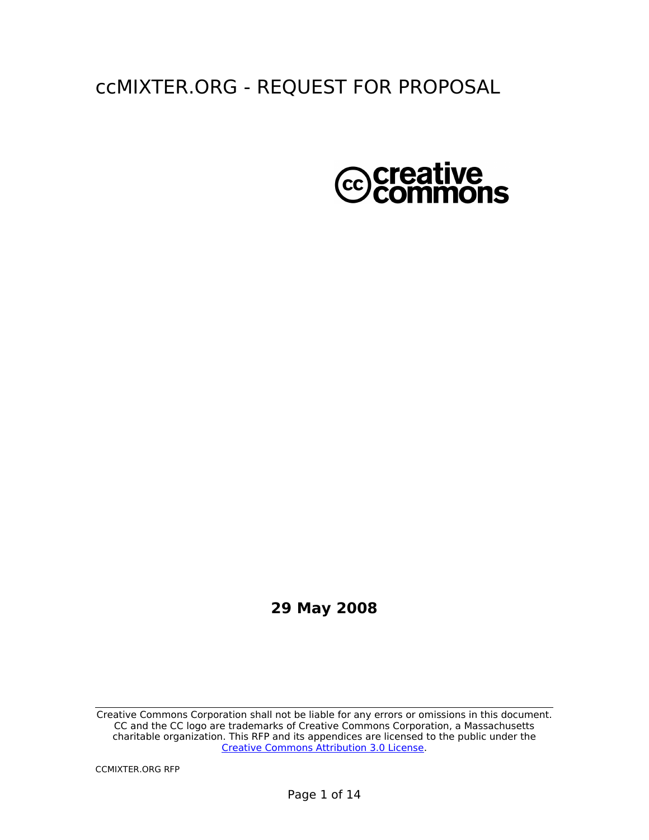# ccMIXTER.ORG - REQUEST FOR PROPOSAL



### **29 May 2008**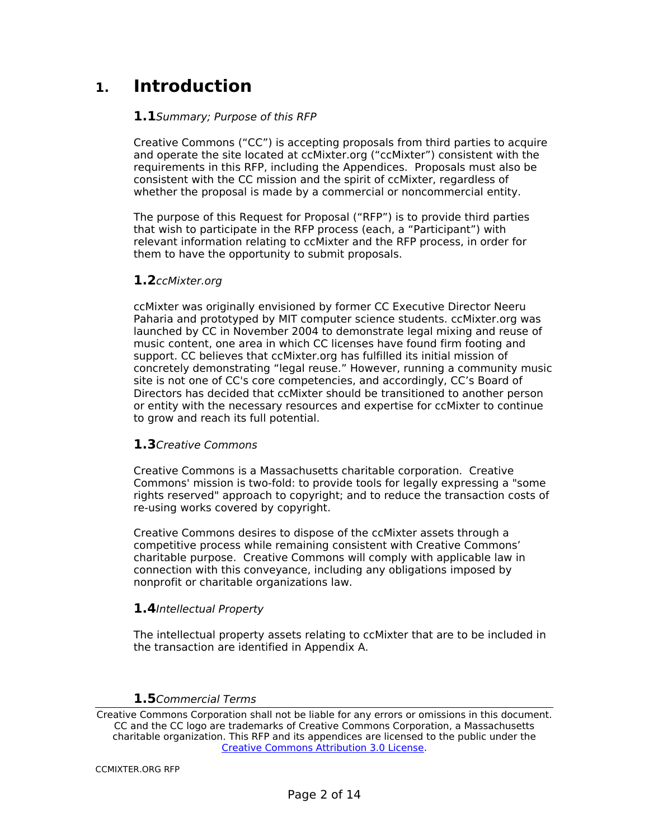## **1. Introduction**

#### **1.1**Summary; Purpose of this RFP

Creative Commons ("CC") is accepting proposals from third parties to acquire and operate the site located at ccMixter.org ("ccMixter") consistent with the requirements in this RFP, including the Appendices. Proposals must also be consistent with the CC mission and the spirit of ccMixter, regardless of whether the proposal is made by a commercial or noncommercial entity.

The purpose of this Request for Proposal ("RFP") is to provide third parties that wish to participate in the RFP process (each, a "Participant") with relevant information relating to ccMixter and the RFP process, in order for them to have the opportunity to submit proposals.

#### **1.2**ccMixter.org

ccMixter was originally envisioned by former CC Executive Director Neeru Paharia and prototyped by MIT computer science students. ccMixter.org was launched by CC in November 2004 to demonstrate legal mixing and reuse of music content, one area in which CC licenses have found firm footing and support. CC believes that ccMixter.org has fulfilled its initial mission of concretely demonstrating "legal reuse." However, running a community music site is not one of CC's core competencies, and accordingly, CC's Board of Directors has decided that ccMixter should be transitioned to another person or entity with the necessary resources and expertise for ccMixter to continue to grow and reach its full potential.

#### **1.3**Creative Commons

Creative Commons is a Massachusetts charitable corporation. Creative Commons' mission is two-fold: to provide tools for legally expressing a "some rights reserved" approach to copyright; and to reduce the transaction costs of re-using works covered by copyright.

Creative Commons desires to dispose of the ccMixter assets through a competitive process while remaining consistent with Creative Commons' charitable purpose. Creative Commons will comply with applicable law in connection with this conveyance, including any obligations imposed by nonprofit or charitable organizations law.

#### **1.4**Intellectual Property

The intellectual property assets relating to ccMixter that are to be included in the transaction are identified in Appendix A.

#### **1.5**Commercial Terms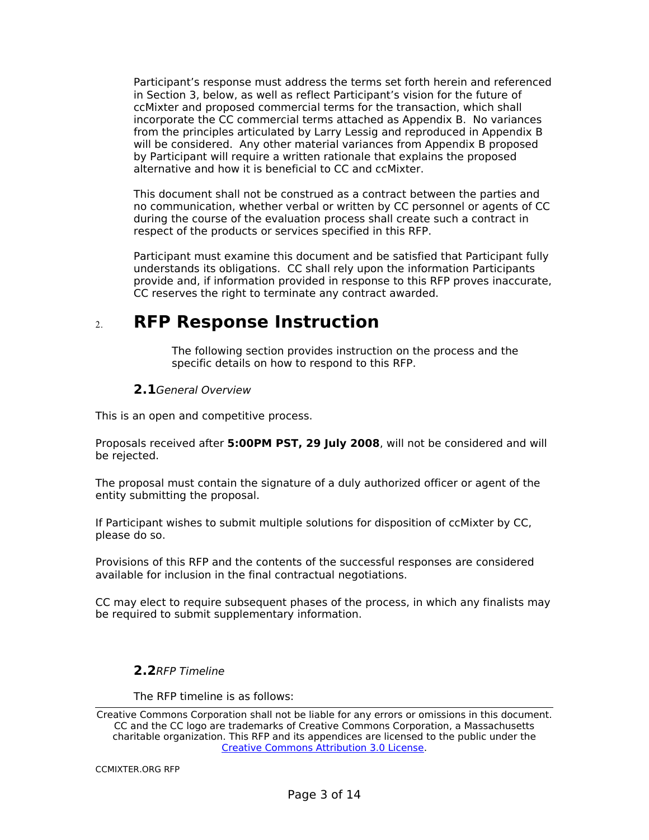Participant's response must address the terms set forth herein and referenced in Section 3, below, as well as reflect Participant's vision for the future of ccMixter and proposed commercial terms for the transaction, which shall incorporate the CC commercial terms attached as Appendix B. No variances from the principles articulated by Larry Lessig and reproduced in Appendix B will be considered. Any other material variances from Appendix B proposed by Participant will require a written rationale that explains the proposed alternative and how it is beneficial to CC and ccMixter.

This document shall not be construed as a contract between the parties and no communication, whether verbal or written by CC personnel or agents of CC during the course of the evaluation process shall create such a contract in respect of the products or services specified in this RFP.

Participant must examine this document and be satisfied that Participant fully understands its obligations. CC shall rely upon the information Participants provide and, if information provided in response to this RFP proves inaccurate, CC reserves the right to terminate any contract awarded.

## **RFP Response Instruction**

The following section provides instruction on the process and the specific details on how to respond to this RFP.

#### **2.1**General Overview

This is an open and competitive process.

Proposals received after **5:00PM PST, 29 July 2008**, will not be considered and will be rejected.

The proposal must contain the signature of a duly authorized officer or agent of the entity submitting the proposal.

If Participant wishes to submit multiple solutions for disposition of ccMixter by CC, please do so.

Provisions of this RFP and the contents of the successful responses are considered available for inclusion in the final contractual negotiations.

CC may elect to require subsequent phases of the process, in which any finalists may be required to submit supplementary information.

#### **2.2**RFP Timeline

The RFP timeline is as follows: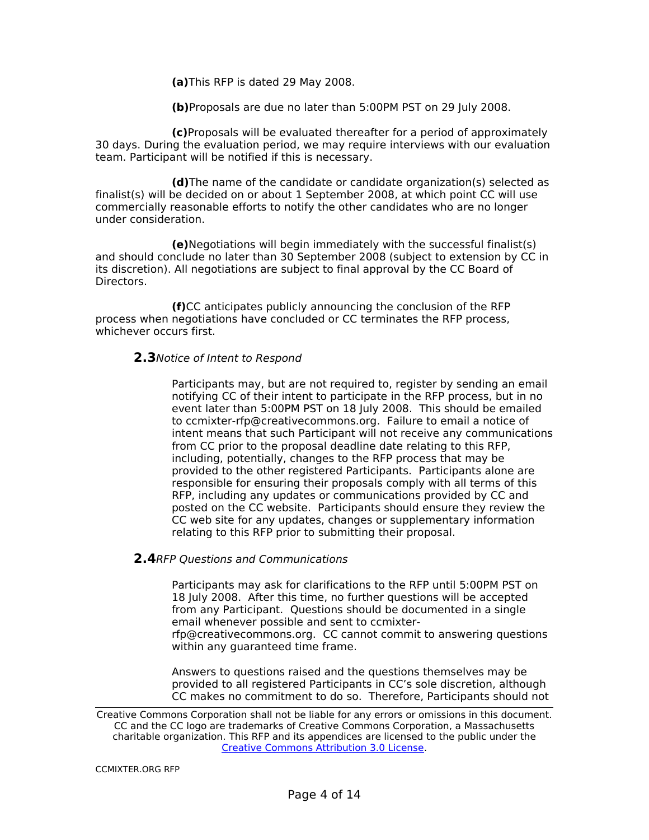**(a)**This RFP is dated 29 May 2008.

**(b)**Proposals are due no later than 5:00PM PST on 29 July 2008.

**(c)**Proposals will be evaluated thereafter for a period of approximately 30 days. During the evaluation period, we may require interviews with our evaluation team. Participant will be notified if this is necessary.

**(d)**The name of the candidate or candidate organization(s) selected as finalist(s) will be decided on or about 1 September 2008, at which point CC will use commercially reasonable efforts to notify the other candidates who are no longer under consideration.

**(e)**Negotiations will begin immediately with the successful finalist(s) and should conclude no later than 30 September 2008 (subject to extension by CC in its discretion). All negotiations are subject to final approval by the CC Board of Directors.

**(f)**CC anticipates publicly announcing the conclusion of the RFP process when negotiations have concluded or CC terminates the RFP process, whichever occurs first.

#### **2.3**Notice of Intent to Respond

Participants may, but are not required to, register by sending an email notifying CC of their intent to participate in the RFP process, but in no event later than 5:00PM PST on 18 July 2008. This should be emailed to ccmixter-rfp@creativecommons.org. Failure to email a notice of intent means that such Participant will not receive any communications from CC prior to the proposal deadline date relating to this RFP, including, potentially, changes to the RFP process that may be provided to the other registered Participants. Participants alone are responsible for ensuring their proposals comply with all terms of this RFP, including any updates or communications provided by CC and posted on the CC website. Participants should ensure they review the CC web site for any updates, changes or supplementary information relating to this RFP prior to submitting their proposal.

#### **2.4**RFP Questions and Communications

Participants may ask for clarifications to the RFP until 5:00PM PST on 18 July 2008. After this time, no further questions will be accepted from any Participant. Questions should be documented in a single email whenever possible and sent to ccmixterrfp@creativecommons.org. CC cannot commit to answering questions within any guaranteed time frame.

Answers to questions raised and the questions themselves may be provided to all registered Participants in CC's sole discretion, although CC makes no commitment to do so. Therefore, Participants should not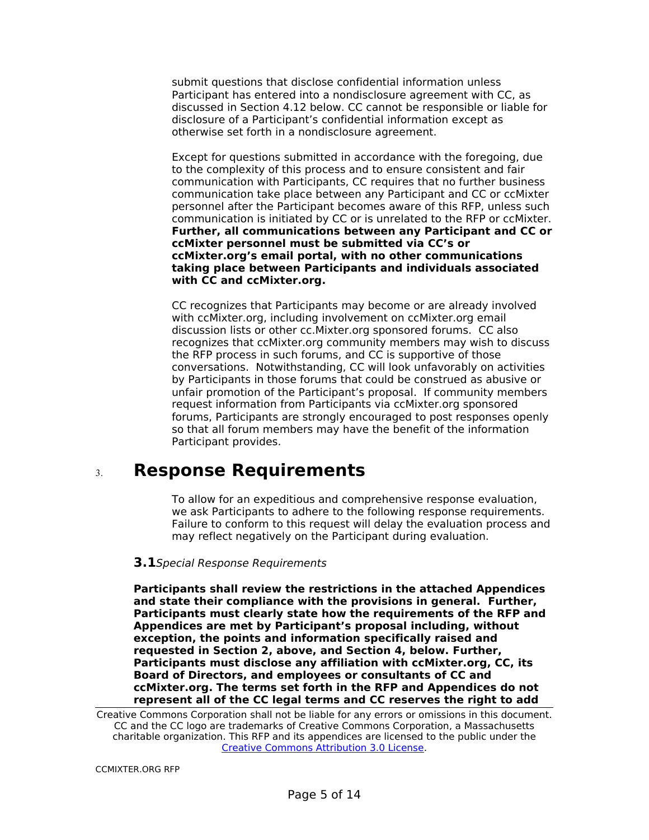submit questions that disclose confidential information unless Participant has entered into a nondisclosure agreement with CC, as discussed in Section 4.12 below. CC cannot be responsible or liable for disclosure of a Participant's confidential information except as otherwise set forth in a nondisclosure agreement.

Except for questions submitted in accordance with the foregoing, due to the complexity of this process and to ensure consistent and fair communication with Participants, CC requires that no further business communication take place between any Participant and CC or ccMixter personnel after the Participant becomes aware of this RFP, unless such communication is initiated by CC or is unrelated to the RFP or ccMixter. **Further, all communications between any Participant and CC or ccMixter personnel must be submitted via CC's or ccMixter.org's email portal, with no other communications taking place between Participants and individuals associated with CC and ccMixter.org.**

CC recognizes that Participants may become or are already involved with ccMixter.org, including involvement on ccMixter.org email discussion lists or other cc.Mixter.org sponsored forums. CC also recognizes that ccMixter.org community members may wish to discuss the RFP process in such forums, and CC is supportive of those conversations. Notwithstanding, CC will look unfavorably on activities by Participants in those forums that could be construed as abusive or unfair promotion of the Participant's proposal. If community members request information from Participants via ccMixter.org sponsored forums, Participants are strongly encouraged to post responses openly so that all forum members may have the benefit of the information Participant provides.

## **Response Requirements**

To allow for an expeditious and comprehensive response evaluation, we ask Participants to adhere to the following response requirements. Failure to conform to this request will delay the evaluation process and may reflect negatively on the Participant during evaluation.

#### **3.1**Special Response Requirements

**Participants shall review the restrictions in the attached Appendices and state their compliance with the provisions in general. Further, Participants must clearly state how the requirements of the RFP and Appendices are met by Participant's proposal including, without exception, the points and information specifically raised and requested in Section 2, above, and Section 4, below. Further, Participants must disclose any affiliation with ccMixter.org, CC, its Board of Directors, and employees or consultants of CC and ccMixter.org. The terms set forth in the RFP and Appendices do not represent all of the CC legal terms and CC reserves the right to add**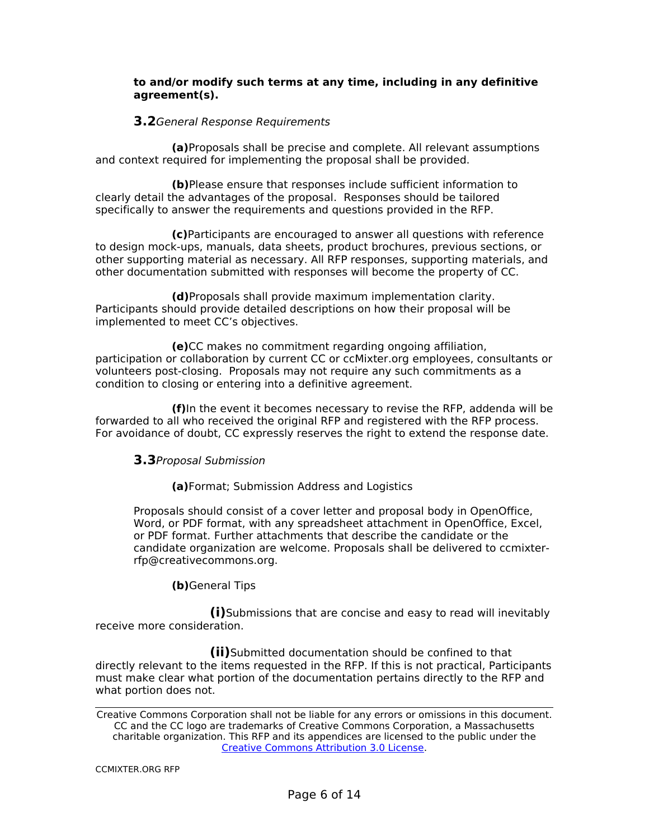#### **to and/or modify such terms at any time, including in any definitive agreement(s).**

#### **3.2**General Response Requirements

**(a)**Proposals shall be precise and complete. All relevant assumptions and context required for implementing the proposal shall be provided.

**(b)**Please ensure that responses include sufficient information to clearly detail the advantages of the proposal. Responses should be tailored specifically to answer the requirements and questions provided in the RFP.

**(c)**Participants are encouraged to answer all questions with reference to design mock-ups, manuals, data sheets, product brochures, previous sections, or other supporting material as necessary. All RFP responses, supporting materials, and other documentation submitted with responses will become the property of CC.

**(d)**Proposals shall provide maximum implementation clarity. Participants should provide detailed descriptions on how their proposal will be implemented to meet CC's objectives.

**(e)**CC makes no commitment regarding ongoing affiliation, participation or collaboration by current CC or ccMixter.org employees, consultants or volunteers post-closing. Proposals may not require any such commitments as a condition to closing or entering into a definitive agreement.

**(f)**In the event it becomes necessary to revise the RFP, addenda will be forwarded to all who received the original RFP and registered with the RFP process. For avoidance of doubt, CC expressly reserves the right to extend the response date.

#### **3.3**Proposal Submission

**(a)**Format; Submission Address and Logistics

Proposals should consist of a cover letter and proposal body in OpenOffice, Word, or PDF format, with any spreadsheet attachment in OpenOffice, Excel, or PDF format. Further attachments that describe the candidate or the candidate organization are welcome. Proposals shall be delivered to ccmixterrfp@creativecommons.org.

#### **(b)**General Tips

**(i)**Submissions that are concise and easy to read will inevitably receive more consideration.

**(ii)**Submitted documentation should be confined to that directly relevant to the items requested in the RFP. If this is not practical, Participants must make clear what portion of the documentation pertains directly to the RFP and what portion does not.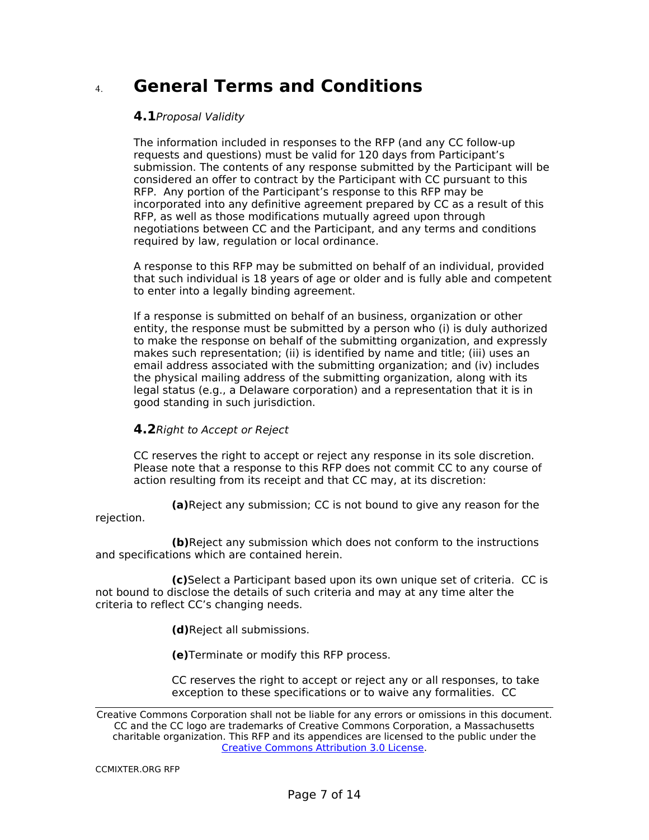## **General Terms and Conditions**

#### **4.1**Proposal Validity

The information included in responses to the RFP (and any CC follow-up requests and questions) must be valid for 120 days from Participant's submission. The contents of any response submitted by the Participant will be considered an offer to contract by the Participant with CC pursuant to this RFP. Any portion of the Participant's response to this RFP may be incorporated into any definitive agreement prepared by CC as a result of this RFP, as well as those modifications mutually agreed upon through negotiations between CC and the Participant, and any terms and conditions required by law, regulation or local ordinance.

A response to this RFP may be submitted on behalf of an individual, provided that such individual is 18 years of age or older and is fully able and competent to enter into a legally binding agreement.

If a response is submitted on behalf of an business, organization or other entity, the response must be submitted by a person who (i) is duly authorized to make the response on behalf of the submitting organization, and expressly makes such representation; (ii) is identified by name and title; (iii) uses an email address associated with the submitting organization; and (iv) includes the physical mailing address of the submitting organization, along with its legal status (e.g., a Delaware corporation) and a representation that it is in good standing in such jurisdiction.

#### **4.2**Right to Accept or Reject

CC reserves the right to accept or reject any response in its sole discretion. Please note that a response to this RFP does not commit CC to any course of action resulting from its receipt and that CC may, at its discretion:

**(a)**Reject any submission; CC is not bound to give any reason for the rejection.

**(b)**Reject any submission which does not conform to the instructions and specifications which are contained herein.

**(c)**Select a Participant based upon its own unique set of criteria. CC is not bound to disclose the details of such criteria and may at any time alter the criteria to reflect CC's changing needs.

**(d)**Reject all submissions.

**(e)**Terminate or modify this RFP process.

CC reserves the right to accept or reject any or all responses, to take exception to these specifications or to waive any formalities. CC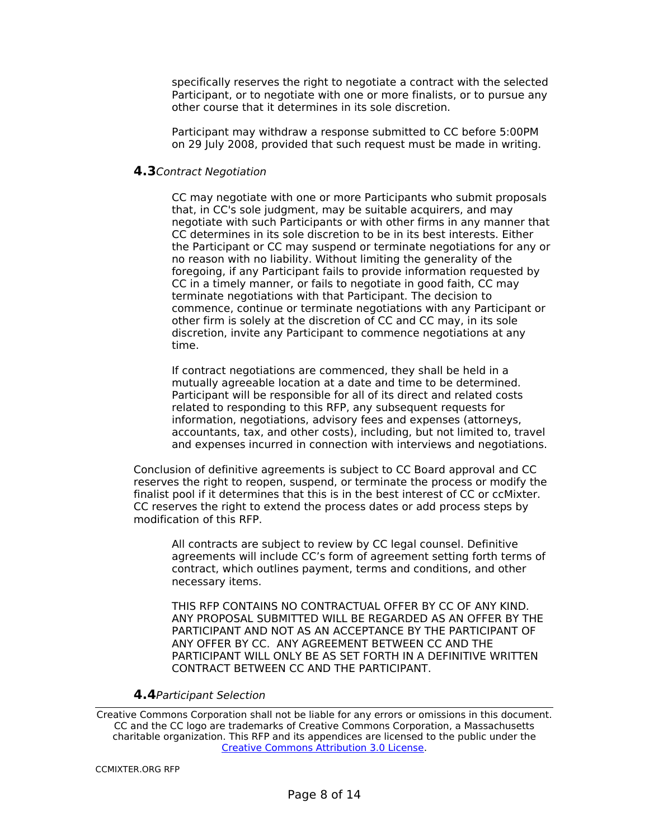specifically reserves the right to negotiate a contract with the selected Participant, or to negotiate with one or more finalists, or to pursue any other course that it determines in its sole discretion.

Participant may withdraw a response submitted to CC before 5:00PM on 29 July 2008, provided that such request must be made in writing.

#### **4.3**Contract Negotiation

CC may negotiate with one or more Participants who submit proposals that, in CC's sole judgment, may be suitable acquirers, and may negotiate with such Participants or with other firms in any manner that CC determines in its sole discretion to be in its best interests. Either the Participant or CC may suspend or terminate negotiations for any or no reason with no liability. Without limiting the generality of the foregoing, if any Participant fails to provide information requested by CC in a timely manner, or fails to negotiate in good faith, CC may terminate negotiations with that Participant. The decision to commence, continue or terminate negotiations with any Participant or other firm is solely at the discretion of CC and CC may, in its sole discretion, invite any Participant to commence negotiations at any time.

If contract negotiations are commenced, they shall be held in a mutually agreeable location at a date and time to be determined. Participant will be responsible for all of its direct and related costs related to responding to this RFP, any subsequent requests for information, negotiations, advisory fees and expenses (attorneys, accountants, tax, and other costs), including, but not limited to, travel and expenses incurred in connection with interviews and negotiations.

Conclusion of definitive agreements is subject to CC Board approval and CC reserves the right to reopen, suspend, or terminate the process or modify the finalist pool if it determines that this is in the best interest of CC or ccMixter. CC reserves the right to extend the process dates or add process steps by modification of this RFP.

All contracts are subject to review by CC legal counsel. Definitive agreements will include CC's form of agreement setting forth terms of contract, which outlines payment, terms and conditions, and other necessary items.

THIS RFP CONTAINS NO CONTRACTUAL OFFER BY CC OF ANY KIND. ANY PROPOSAL SUBMITTED WILL BE REGARDED AS AN OFFER BY THE PARTICIPANT AND NOT AS AN ACCEPTANCE BY THE PARTICIPANT OF ANY OFFER BY CC. ANY AGREEMENT BETWEEN CC AND THE PARTICIPANT WILL ONLY BE AS SET FORTH IN A DEFINITIVE WRITTEN CONTRACT BETWEEN CC AND THE PARTICIPANT.

#### **4.4**Participant Selection

Creative Commons Corporation shall not be liable for any errors or omissions in this document. CC and the CC logo are trademarks of Creative Commons Corporation, a Massachusetts charitable organization. This RFP and its appendices are licensed to the public under the Creative Commons Attribution 3.0 License.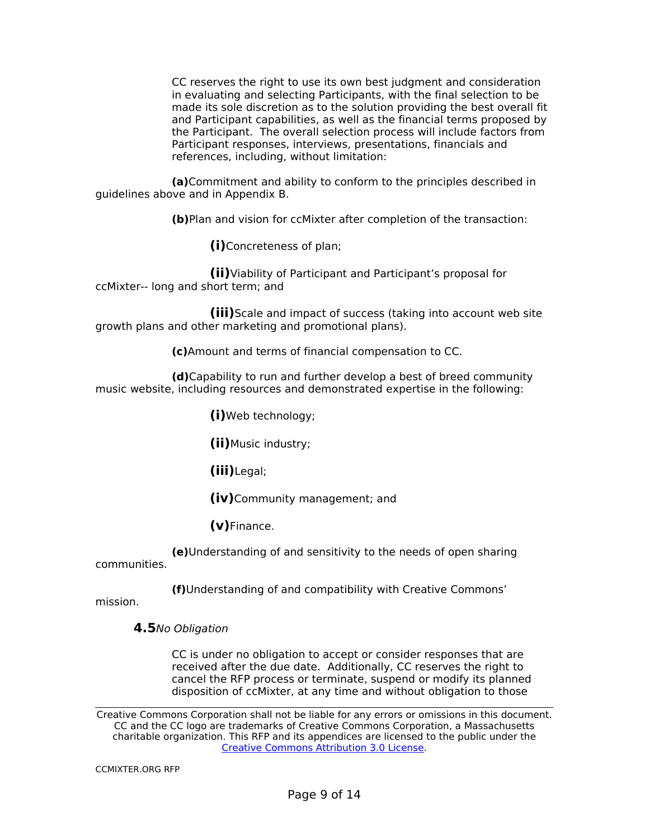CC reserves the right to use its own best judgment and consideration in evaluating and selecting Participants, with the final selection to be made its sole discretion as to the solution providing the best overall fit and Participant capabilities, as well as the financial terms proposed by the Participant. The overall selection process will include factors from Participant responses, interviews, presentations, financials and references, including, without limitation:

**(a)**Commitment and ability to conform to the principles described in guidelines above and in Appendix B.

**(b)**Plan and vision for ccMixter after completion of the transaction:

**(i)**Concreteness of plan;

**(ii)**Viability of Participant and Participant's proposal for ccMixter-- long and short term; and

**(iii)**Scale and impact of success (taking into account web site growth plans and other marketing and promotional plans).

**(c)**Amount and terms of financial compensation to CC.

**(d)**Capability to run and further develop a best of breed community music website, including resources and demonstrated expertise in the following:

**(i)**Web technology;

**(ii)**Music industry;

**(iii)**Legal;

**(iv)**Community management; and

**(v)**Finance.

**(e)**Understanding of and sensitivity to the needs of open sharing communities.

**(f)**Understanding of and compatibility with Creative Commons'

mission.

#### **4.5**No Obligation

CC is under no obligation to accept or consider responses that are received after the due date. Additionally, CC reserves the right to cancel the RFP process or terminate, suspend or modify its planned disposition of ccMixter, at any time and without obligation to those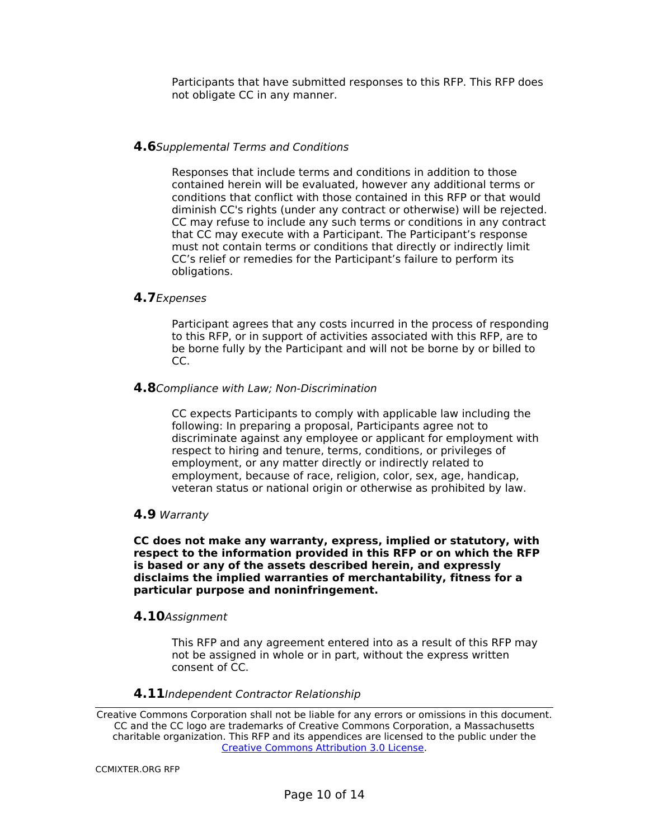Participants that have submitted responses to this RFP. This RFP does not obligate CC in any manner.

#### **4.6**Supplemental Terms and Conditions

Responses that include terms and conditions in addition to those contained herein will be evaluated, however any additional terms or conditions that conflict with those contained in this RFP or that would diminish CC's rights (under any contract or otherwise) will be rejected. CC may refuse to include any such terms or conditions in any contract that CC may execute with a Participant. The Participant's response must not contain terms or conditions that directly or indirectly limit CC's relief or remedies for the Participant's failure to perform its obligations.

#### **4.7**Expenses

Participant agrees that any costs incurred in the process of responding to this RFP, or in support of activities associated with this RFP, are to be borne fully by the Participant and will not be borne by or billed to CC.

#### **4.8**Compliance with Law; Non-Discrimination

CC expects Participants to comply with applicable law including the following: In preparing a proposal, Participants agree not to discriminate against any employee or applicant for employment with respect to hiring and tenure, terms, conditions, or privileges of employment, or any matter directly or indirectly related to employment, because of race, religion, color, sex, age, handicap, veteran status or national origin or otherwise as prohibited by law.

#### **4.9** Warranty

**CC does not make any warranty, express, implied or statutory, with respect to the information provided in this RFP or on which the RFP is based or any of the assets described herein, and expressly disclaims the implied warranties of merchantability, fitness for a particular purpose and noninfringement.**

#### **4.10**Assignment

This RFP and any agreement entered into as a result of this RFP may not be assigned in whole or in part, without the express written consent of CC.

#### **4.11**Independent Contractor Relationship

Creative Commons Corporation shall not be liable for any errors or omissions in this document. CC and the CC logo are trademarks of Creative Commons Corporation, a Massachusetts charitable organization. This RFP and its appendices are licensed to the public under the Creative Commons Attribution 3.0 License.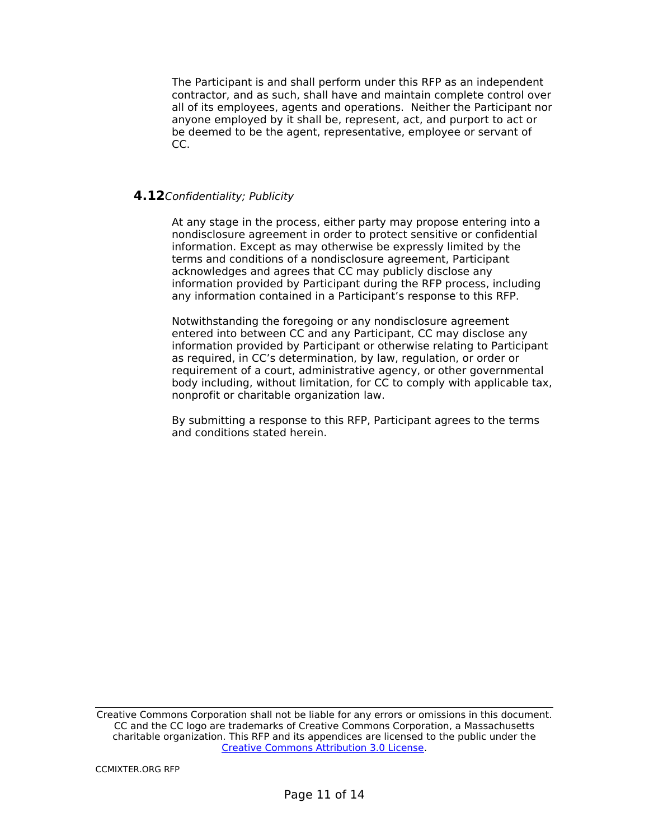The Participant is and shall perform under this RFP as an independent contractor, and as such, shall have and maintain complete control over all of its employees, agents and operations. Neither the Participant nor anyone employed by it shall be, represent, act, and purport to act or be deemed to be the agent, representative, employee or servant of CC.

#### **4.12**Confidentiality; Publicity

At any stage in the process, either party may propose entering into a nondisclosure agreement in order to protect sensitive or confidential information. Except as may otherwise be expressly limited by the terms and conditions of a nondisclosure agreement, Participant acknowledges and agrees that CC may publicly disclose any information provided by Participant during the RFP process, including any information contained in a Participant's response to this RFP.

Notwithstanding the foregoing or any nondisclosure agreement entered into between CC and any Participant, CC may disclose any information provided by Participant or otherwise relating to Participant as required, in CC's determination, by law, regulation, or order or requirement of a court, administrative agency, or other governmental body including, without limitation, for CC to comply with applicable tax, nonprofit or charitable organization law.

By submitting a response to this RFP, Participant agrees to the terms and conditions stated herein.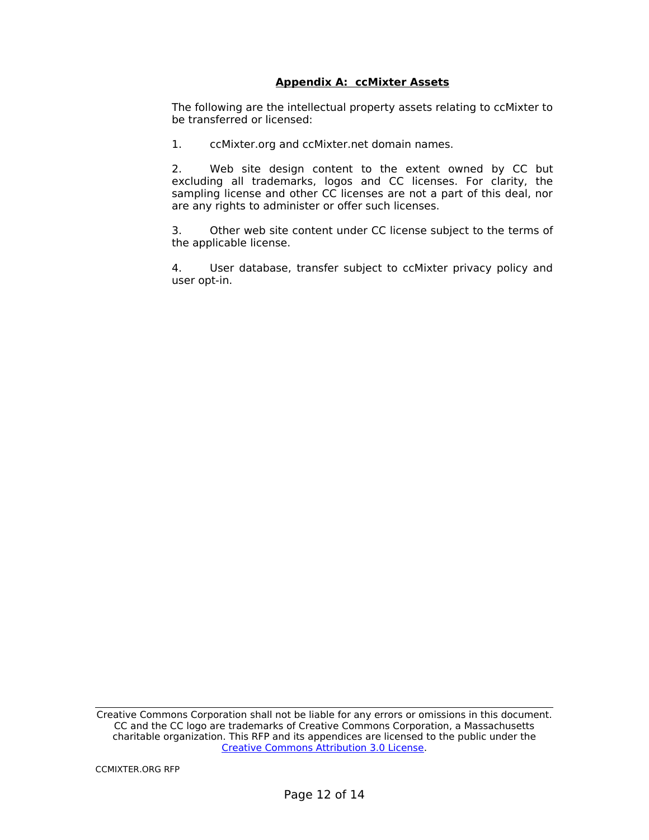#### **Appendix A: ccMixter Assets**

The following are the intellectual property assets relating to ccMixter to be transferred or licensed:

1. ccMixter.org and ccMixter.net domain names.

2. Web site design content to the extent owned by CC but excluding all trademarks, logos and CC licenses. For clarity, the sampling license and other CC licenses are not a part of this deal, nor are any rights to administer or offer such licenses.

3. Other web site content under CC license subject to the terms of the applicable license.

4. User database, transfer subject to ccMixter privacy policy and user opt-in.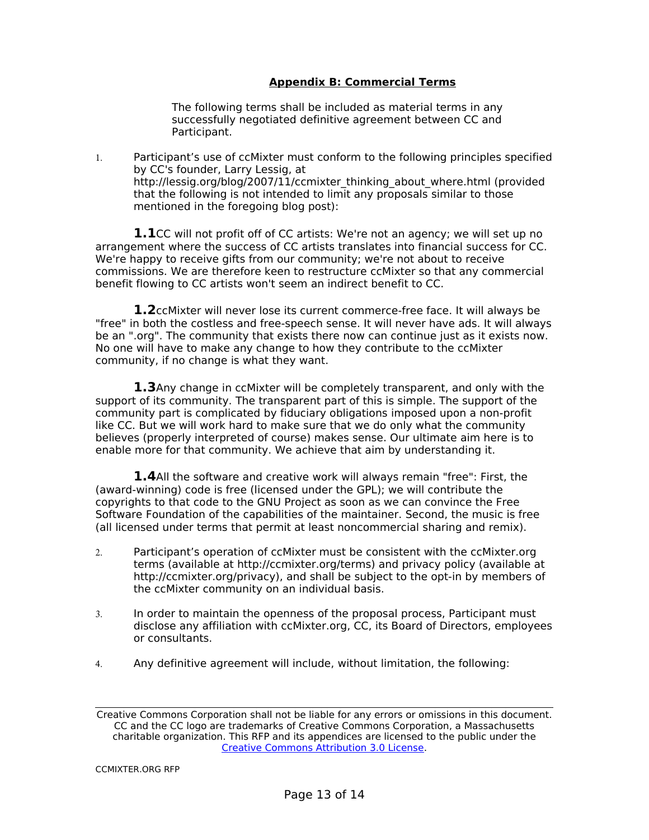#### **Appendix B: Commercial Terms**

The following terms shall be included as material terms in any successfully negotiated definitive agreement between CC and Participant.

 Participant's use of ccMixter must conform to the following principles specified by CC's founder, Larry Lessig, at http://lessig.org/blog/2007/11/ccmixter\_thinking\_about\_where.html (provided that the following is not intended to limit any proposals similar to those mentioned in the foregoing blog post):

**1.1**CC will not profit off of CC artists: We're not an agency; we will set up no arrangement where the success of CC artists translates into financial success for CC. We're happy to receive gifts from our community; we're not about to receive commissions. We are therefore keen to restructure ccMixter so that any commercial benefit flowing to CC artists won't seem an indirect benefit to CC.

**1.2**ccMixter will never lose its current commerce-free face. It will always be "free" in both the costless and free-speech sense. It will never have ads. It will always be an ".org". The community that exists there now can continue just as it exists now. No one will have to make any change to how they contribute to the ccMixter community, if no change is what they want.

**1.3**Any change in ccMixter will be completely transparent, and only with the support of its community. The transparent part of this is simple. The support of the community part is complicated by fiduciary obligations imposed upon a non-profit like CC. But we will work hard to make sure that we do only what the community believes (properly interpreted of course) makes sense. Our ultimate aim here is to enable more for that community. We achieve that aim by understanding it.

**1.4**All the software and creative work will always remain "free": First, the (award-winning) code is free (licensed under the GPL); we will contribute the copyrights to that code to the GNU Project as soon as we can convince the Free Software Foundation of the capabilities of the maintainer. Second, the music is free (all licensed under terms that permit at least noncommercial sharing and remix).

- Participant's operation of ccMixter must be consistent with the ccMixter.org terms (available at http://ccmixter.org/terms) and privacy policy (available at http://ccmixter.org/privacy), and shall be subject to the opt-in by members of the ccMixter community on an individual basis.
- In order to maintain the openness of the proposal process, Participant must disclose any affiliation with ccMixter.org, CC, its Board of Directors, employees or consultants.
- Any definitive agreement will include, without limitation, the following:

Creative Commons Corporation shall not be liable for any errors or omissions in this document. CC and the CC logo are trademarks of Creative Commons Corporation, a Massachusetts charitable organization. This RFP and its appendices are licensed to the public under the Creative Commons Attribution 3.0 License.